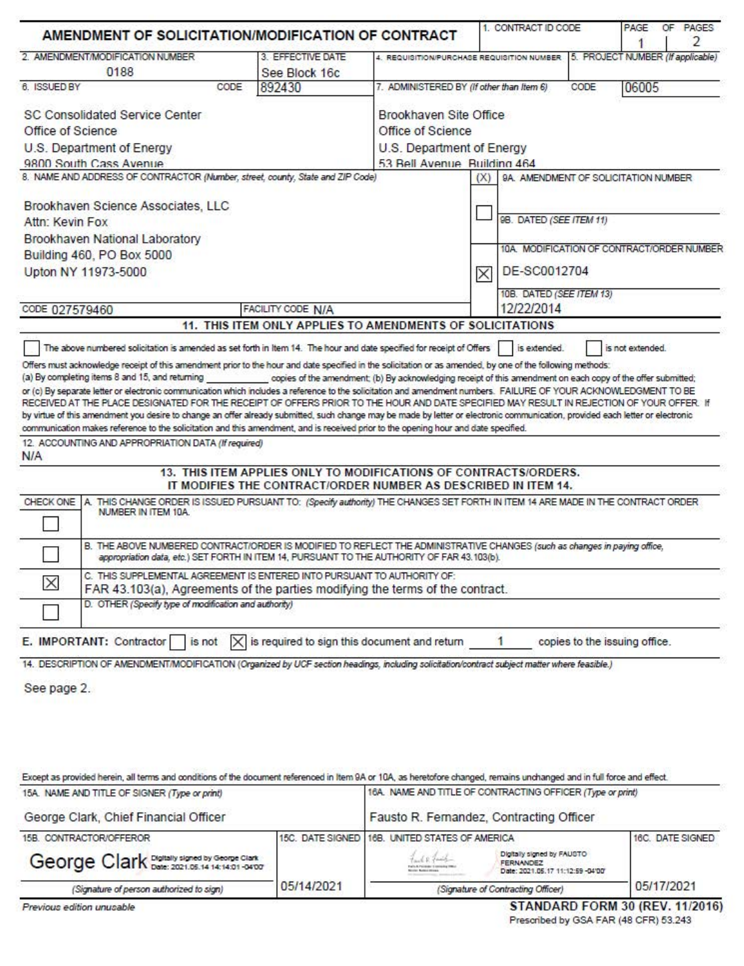| AMENDMENT OF SOLICITATION/MODIFICATION OF CONTRACT                                                                                                                                                                                                                                                                                                                                                                                                                                                                                                                                                                                                                                                                                                                                                                                                                                                                        |                                                                                                                                                                                                                                   |                                                            | 1. CONTRACT ID CODE       | PAGE<br>OF PAGES<br>2                     |  |
|---------------------------------------------------------------------------------------------------------------------------------------------------------------------------------------------------------------------------------------------------------------------------------------------------------------------------------------------------------------------------------------------------------------------------------------------------------------------------------------------------------------------------------------------------------------------------------------------------------------------------------------------------------------------------------------------------------------------------------------------------------------------------------------------------------------------------------------------------------------------------------------------------------------------------|-----------------------------------------------------------------------------------------------------------------------------------------------------------------------------------------------------------------------------------|------------------------------------------------------------|---------------------------|-------------------------------------------|--|
| 2. AMENDMENT/MODIFICATION NUMBER                                                                                                                                                                                                                                                                                                                                                                                                                                                                                                                                                                                                                                                                                                                                                                                                                                                                                          | 3. EFFECTIVE DATE                                                                                                                                                                                                                 | 4. REQUISITION/PURCHASE REQUISITION NUMBER                 |                           | 5. PROJECT NUMBER (If applicable)         |  |
| 0188                                                                                                                                                                                                                                                                                                                                                                                                                                                                                                                                                                                                                                                                                                                                                                                                                                                                                                                      | See Block 16c                                                                                                                                                                                                                     |                                                            |                           |                                           |  |
| 6. ISSUED BY                                                                                                                                                                                                                                                                                                                                                                                                                                                                                                                                                                                                                                                                                                                                                                                                                                                                                                              | CODE<br>892430                                                                                                                                                                                                                    | 7. ADMINISTERED BY (If other than Item 6)                  |                           | CODE<br>06005                             |  |
| SC Consolidated Service Center                                                                                                                                                                                                                                                                                                                                                                                                                                                                                                                                                                                                                                                                                                                                                                                                                                                                                            |                                                                                                                                                                                                                                   | Brookhaven Site Office                                     |                           |                                           |  |
| Office of Science                                                                                                                                                                                                                                                                                                                                                                                                                                                                                                                                                                                                                                                                                                                                                                                                                                                                                                         |                                                                                                                                                                                                                                   | Office of Science                                          |                           |                                           |  |
| U.S. Department of Energy                                                                                                                                                                                                                                                                                                                                                                                                                                                                                                                                                                                                                                                                                                                                                                                                                                                                                                 |                                                                                                                                                                                                                                   |                                                            | U.S. Department of Energy |                                           |  |
| 9800 South Cass Avenue                                                                                                                                                                                                                                                                                                                                                                                                                                                                                                                                                                                                                                                                                                                                                                                                                                                                                                    |                                                                                                                                                                                                                                   | 53 Bell Avenue Building 464                                |                           |                                           |  |
| 8. NAME AND ADDRESS OF CONTRACTOR (Number, street, county, State and ZIP Code)                                                                                                                                                                                                                                                                                                                                                                                                                                                                                                                                                                                                                                                                                                                                                                                                                                            |                                                                                                                                                                                                                                   |                                                            | (X)                       | 9A. AMENDMENT OF SOLICITATION NUMBER      |  |
|                                                                                                                                                                                                                                                                                                                                                                                                                                                                                                                                                                                                                                                                                                                                                                                                                                                                                                                           |                                                                                                                                                                                                                                   |                                                            |                           |                                           |  |
| Brookhaven Science Associates, LLC                                                                                                                                                                                                                                                                                                                                                                                                                                                                                                                                                                                                                                                                                                                                                                                                                                                                                        |                                                                                                                                                                                                                                   |                                                            |                           |                                           |  |
| Attn: Kevin Fox                                                                                                                                                                                                                                                                                                                                                                                                                                                                                                                                                                                                                                                                                                                                                                                                                                                                                                           |                                                                                                                                                                                                                                   |                                                            | 98. DATED (SEE ITEM 11)   |                                           |  |
| Brookhaven National Laboratory                                                                                                                                                                                                                                                                                                                                                                                                                                                                                                                                                                                                                                                                                                                                                                                                                                                                                            |                                                                                                                                                                                                                                   |                                                            |                           |                                           |  |
| Building 460, PO Box 5000                                                                                                                                                                                                                                                                                                                                                                                                                                                                                                                                                                                                                                                                                                                                                                                                                                                                                                 |                                                                                                                                                                                                                                   |                                                            |                           | 10A MODIFICATION OF CONTRACT/ORDER NUMBER |  |
| Upton NY 11973-5000                                                                                                                                                                                                                                                                                                                                                                                                                                                                                                                                                                                                                                                                                                                                                                                                                                                                                                       |                                                                                                                                                                                                                                   |                                                            | DE-SC0012704<br>$\times$  |                                           |  |
|                                                                                                                                                                                                                                                                                                                                                                                                                                                                                                                                                                                                                                                                                                                                                                                                                                                                                                                           |                                                                                                                                                                                                                                   |                                                            | 10B. DATED (SEE ITEM 13)  |                                           |  |
| CODE 027579460                                                                                                                                                                                                                                                                                                                                                                                                                                                                                                                                                                                                                                                                                                                                                                                                                                                                                                            | FACILITY CODE N/A                                                                                                                                                                                                                 |                                                            | 12/22/2014                |                                           |  |
|                                                                                                                                                                                                                                                                                                                                                                                                                                                                                                                                                                                                                                                                                                                                                                                                                                                                                                                           | 11. THIS ITEM ONLY APPLIES TO AMENDMENTS OF SOLICITATIONS                                                                                                                                                                         |                                                            |                           |                                           |  |
| by virtue of this amendment you desire to change an offer already submitted, such change may be made by letter or electronic communication, provided each letter or electronic<br>communication makes reference to the solicitation and this amendment, and is received prior to the opening hour and date specified.<br>12. ACCOUNTING AND APPROPRIATION DATA (If required)<br>N/A<br>A. THIS CHANGE ORDER IS ISSUED PURSUANT TO: (Specify authority) THE CHANGES SET FORTH IN ITEM 14 ARE MADE IN THE CONTRACT ORDER<br>CHECK ONE<br>NUMBER IN ITEM 10A.<br>B. THE ABOVE NUMBERED CONTRACT/ORDER IS MODIFIED TO REFLECT THE ADMINISTRATIVE CHANGES (such as changes in paying office,<br>C. THIS SUPPLEMENTAL AGREEMENT IS ENTERED INTO PURSUANT TO AUTHORITY OF:<br>$\times$<br>FAR 43.103(a), Agreements of the parties modifying the terms of the contract.<br>D. OTHER (Specify type of modification and authority) | 13. THIS ITEM APPLIES ONLY TO MODIFICATIONS OF CONTRACTS/ORDERS.<br>IT MODIFIES THE CONTRACT/ORDER NUMBER AS DESCRIBED IN ITEM 14.<br>appropriation data, etc.) SET FORTH IN ITEM 14, PURSUANT TO THE AUTHORITY OF FAR 43.103(b). |                                                            |                           |                                           |  |
|                                                                                                                                                                                                                                                                                                                                                                                                                                                                                                                                                                                                                                                                                                                                                                                                                                                                                                                           |                                                                                                                                                                                                                                   |                                                            |                           |                                           |  |
| E. IMPORTANT: Contractor<br>is not                                                                                                                                                                                                                                                                                                                                                                                                                                                                                                                                                                                                                                                                                                                                                                                                                                                                                        |                                                                                                                                                                                                                                   | is required to sign this document and return               | $\mathbf{1}$              | copies to the issuing office.             |  |
| 14. DESCRIPTION OF AMENDMENT/MODIFICATION (Organized by UCF section headings, including solicitation/contract subject matter where feasible.)                                                                                                                                                                                                                                                                                                                                                                                                                                                                                                                                                                                                                                                                                                                                                                             |                                                                                                                                                                                                                                   |                                                            |                           |                                           |  |
| See page 2.                                                                                                                                                                                                                                                                                                                                                                                                                                                                                                                                                                                                                                                                                                                                                                                                                                                                                                               |                                                                                                                                                                                                                                   |                                                            |                           |                                           |  |
| Except as provided herein, all terms and conditions of the document referenced in Item 9A or 10A, as heretofore changed, remains unchanged and in full force and effect.                                                                                                                                                                                                                                                                                                                                                                                                                                                                                                                                                                                                                                                                                                                                                  |                                                                                                                                                                                                                                   |                                                            |                           |                                           |  |
| 15A. NAME AND TITLE OF SIGNER (Type or print)                                                                                                                                                                                                                                                                                                                                                                                                                                                                                                                                                                                                                                                                                                                                                                                                                                                                             |                                                                                                                                                                                                                                   | 16A. NAME AND TITLE OF CONTRACTING OFFICER (Type or print) |                           |                                           |  |
| George Clark, Chief Financial Officer                                                                                                                                                                                                                                                                                                                                                                                                                                                                                                                                                                                                                                                                                                                                                                                                                                                                                     |                                                                                                                                                                                                                                   | Fausto R. Fernandez, Contracting Officer                   |                           |                                           |  |

| 15B. CONTRACTOR/OFFEROR                       |            | 15C. DATE SIGNED 16B. UNITED STATES OF AMERICA |                                                                                     | 16C. DATE SIGNED |
|-----------------------------------------------|------------|------------------------------------------------|-------------------------------------------------------------------------------------|------------------|
| George Clark Digitally signed by George Clark |            | Le Fait<br><b>Nickle School Street</b>         | Digitally signed by FAUSTO<br><b>FERNANDEZ</b><br>Date: 2021.05.17 11:12:59 -04'00' |                  |
| (Signature of person authorized to sign)      | 05/14/2021 |                                                | (Signature of Contracting Officer)                                                  | 05/17/2021       |

Previous edition unusable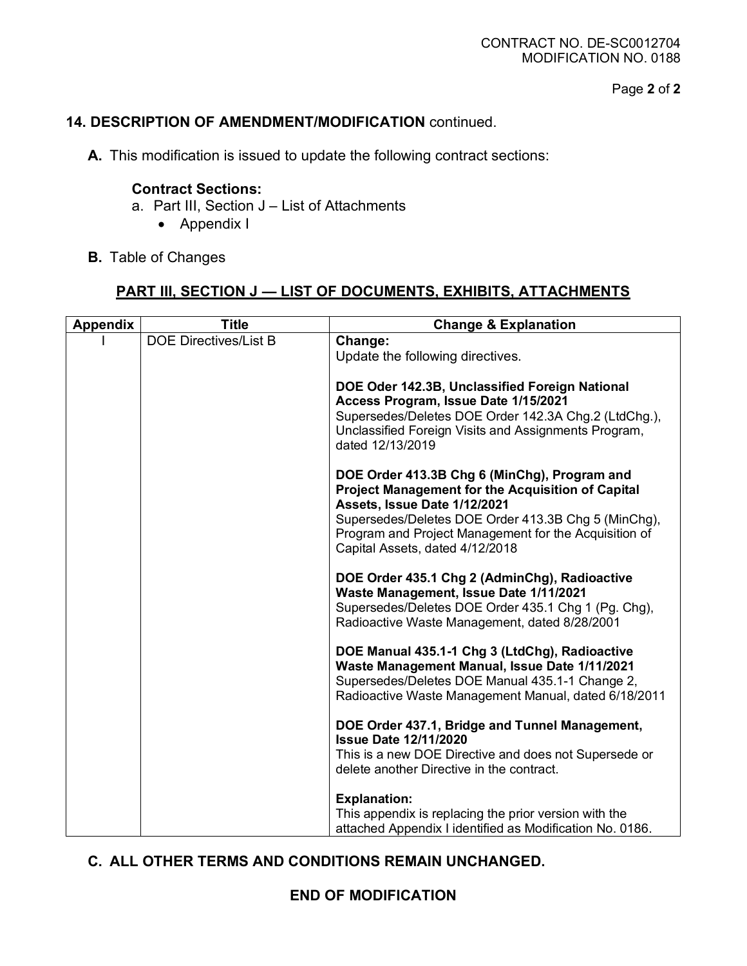Page **2** of **2**

### **14. DESCRIPTION OF AMENDMENT/MODIFICATION** continued.

**A.** This modification is issued to update the following contract sections:

#### **Contract Sections:**

- a. Part III, Section J List of Attachments
	- Appendix I
- **B.** Table of Changes

# **PART III, SECTION J — LIST OF DOCUMENTS, EXHIBITS, ATTACHMENTS**

| <b>Appendix</b> | <b>Title</b>                 | <b>Change &amp; Explanation</b>                                                                                                                                                                                                                                                      |
|-----------------|------------------------------|--------------------------------------------------------------------------------------------------------------------------------------------------------------------------------------------------------------------------------------------------------------------------------------|
|                 | <b>DOE Directives/List B</b> | Change:<br>Update the following directives.                                                                                                                                                                                                                                          |
|                 |                              | DOE Oder 142.3B, Unclassified Foreign National<br>Access Program, Issue Date 1/15/2021<br>Supersedes/Deletes DOE Order 142.3A Chg.2 (LtdChg.),<br>Unclassified Foreign Visits and Assignments Program,<br>dated 12/13/2019                                                           |
|                 |                              | DOE Order 413.3B Chg 6 (MinChg), Program and<br>Project Management for the Acquisition of Capital<br>Assets, Issue Date 1/12/2021<br>Supersedes/Deletes DOE Order 413.3B Chg 5 (MinChg),<br>Program and Project Management for the Acquisition of<br>Capital Assets, dated 4/12/2018 |
|                 |                              | DOE Order 435.1 Chg 2 (AdminChg), Radioactive<br>Waste Management, Issue Date 1/11/2021<br>Supersedes/Deletes DOE Order 435.1 Chg 1 (Pg. Chg),<br>Radioactive Waste Management, dated 8/28/2001                                                                                      |
|                 |                              | DOE Manual 435.1-1 Chg 3 (LtdChg), Radioactive<br>Waste Management Manual, Issue Date 1/11/2021<br>Supersedes/Deletes DOE Manual 435.1-1 Change 2,<br>Radioactive Waste Management Manual, dated 6/18/2011                                                                           |
|                 |                              | DOE Order 437.1, Bridge and Tunnel Management,<br><b>Issue Date 12/11/2020</b><br>This is a new DOE Directive and does not Supersede or<br>delete another Directive in the contract.                                                                                                 |
|                 |                              | <b>Explanation:</b><br>This appendix is replacing the prior version with the<br>attached Appendix I identified as Modification No. 0186.                                                                                                                                             |

### **C. ALL OTHER TERMS AND CONDITIONS REMAIN UNCHANGED.**

### **END OF MODIFICATION**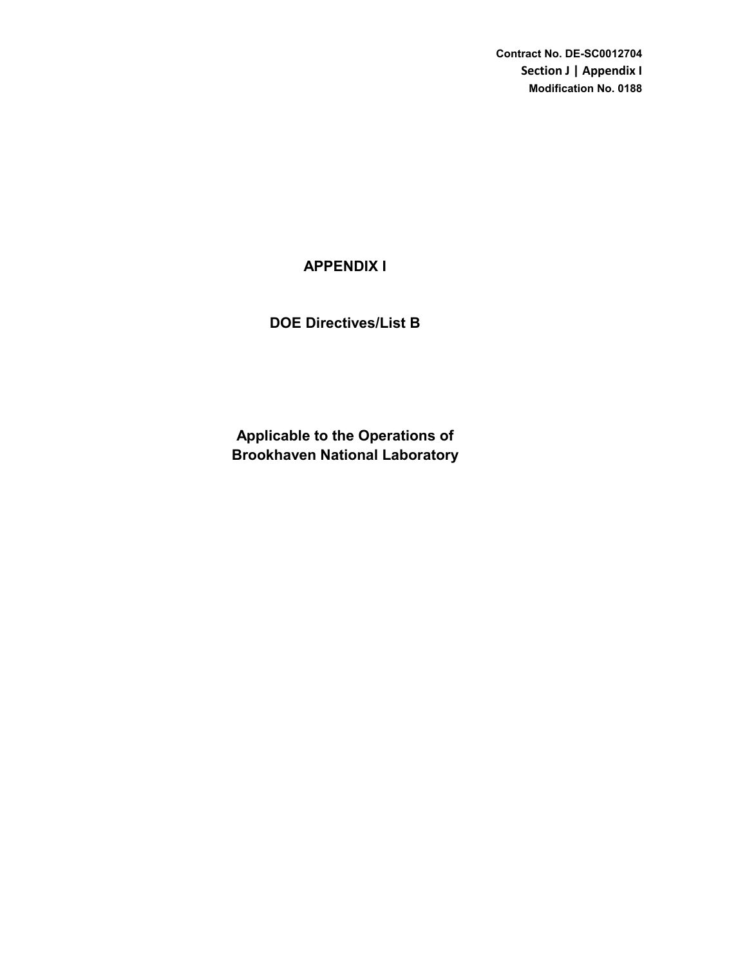**Contract No. DE-SC0012704 Section J | Appendix I Modification No. 0188**

# **APPENDIX I**

# **DOE Directives/List B**

**Brookhaven National Laboratory Applicable to the Operations of**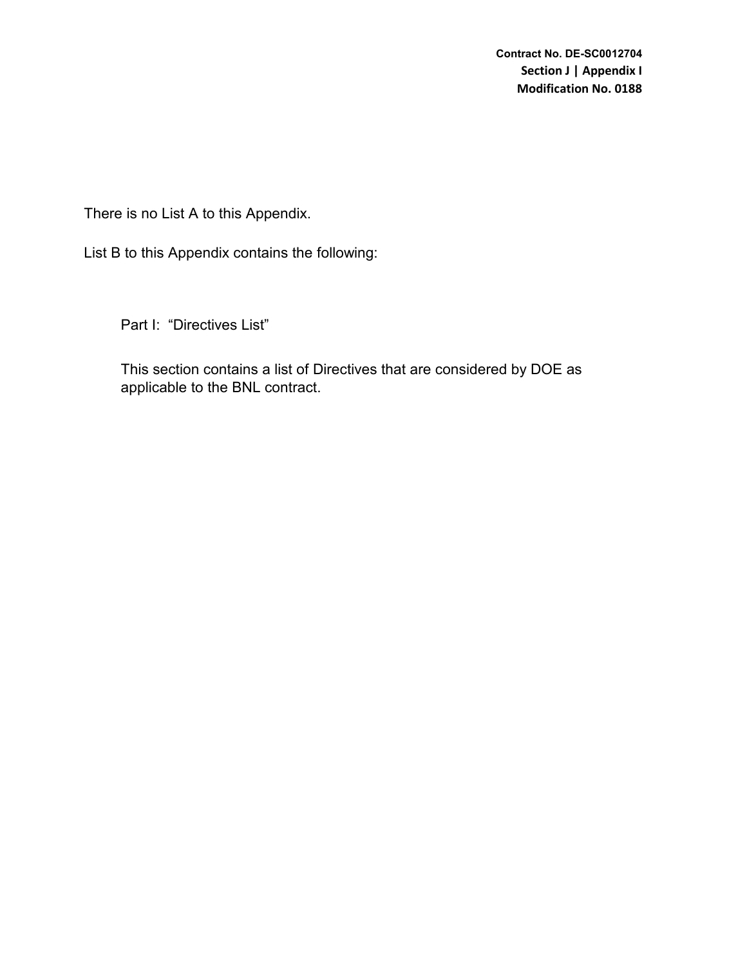There is no List A to this Appendix.

List B to this Appendix contains the following:

Part I: "Directives List"

This section contains a list of Directives that are considered by DOE as applicable to the BNL contract.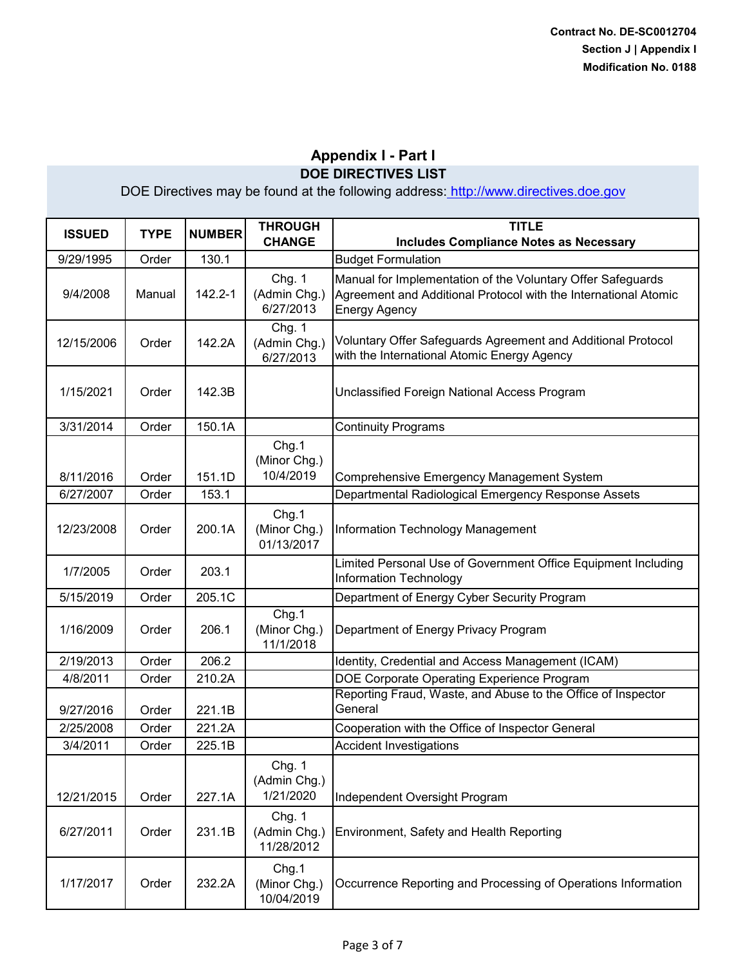| <b>ISSUED</b> | <b>TYPE</b> | <b>NUMBER</b> | <b>THROUGH</b><br><b>CHANGE</b>      | <b>TITLE</b><br><b>Includes Compliance Notes as Necessary</b>                                                                                          |
|---------------|-------------|---------------|--------------------------------------|--------------------------------------------------------------------------------------------------------------------------------------------------------|
| 9/29/1995     | Order       | 130.1         |                                      | <b>Budget Formulation</b>                                                                                                                              |
| 9/4/2008      | Manual      | 142.2-1       | Chg. 1<br>(Admin Chg.)<br>6/27/2013  | Manual for Implementation of the Voluntary Offer Safeguards<br>Agreement and Additional Protocol with the International Atomic<br><b>Energy Agency</b> |
| 12/15/2006    | Order       | 142.2A        | Chg. 1<br>(Admin Chg.)<br>6/27/2013  | Voluntary Offer Safeguards Agreement and Additional Protocol<br>with the International Atomic Energy Agency                                            |
| 1/15/2021     | Order       | 142.3B        |                                      | Unclassified Foreign National Access Program                                                                                                           |
| 3/31/2014     | Order       | 150.1A        |                                      | <b>Continuity Programs</b>                                                                                                                             |
| 8/11/2016     | Order       | 151.1D        | Chg.1<br>(Minor Chg.)<br>10/4/2019   | <b>Comprehensive Emergency Management System</b>                                                                                                       |
| 6/27/2007     | Order       | 153.1         |                                      | Departmental Radiological Emergency Response Assets                                                                                                    |
| 12/23/2008    | Order       | 200.1A        | Chg.1<br>(Minor Chg.)<br>01/13/2017  | Information Technology Management                                                                                                                      |
| 1/7/2005      | Order       | 203.1         |                                      | Limited Personal Use of Government Office Equipment Including<br><b>Information Technology</b>                                                         |
| 5/15/2019     | Order       | 205.1C        |                                      | Department of Energy Cyber Security Program                                                                                                            |
| 1/16/2009     | Order       | 206.1         | Chg.1<br>(Minor Chg.)<br>11/1/2018   | Department of Energy Privacy Program                                                                                                                   |
| 2/19/2013     | Order       | 206.2         |                                      | Identity, Credential and Access Management (ICAM)                                                                                                      |
| 4/8/2011      | Order       | 210.2A        |                                      | DOE Corporate Operating Experience Program                                                                                                             |
| 9/27/2016     | Order       | 221.1B        |                                      | Reporting Fraud, Waste, and Abuse to the Office of Inspector<br>General                                                                                |
| 2/25/2008     | Order       | 221.2A        |                                      | Cooperation with the Office of Inspector General                                                                                                       |
| 3/4/2011      | Order       | 225.1B        |                                      | <b>Accident Investigations</b>                                                                                                                         |
| 12/21/2015    | Order       | 227.1A        | Chg. 1<br>(Admin Chg.)<br>1/21/2020  | Independent Oversight Program                                                                                                                          |
| 6/27/2011     | Order       | 231.1B        | Chg. 1<br>(Admin Chg.)<br>11/28/2012 | Environment, Safety and Health Reporting                                                                                                               |
| 1/17/2017     | Order       | 232.2A        | Chg.1<br>(Minor Chg.)<br>10/04/2019  | Occurrence Reporting and Processing of Operations Information                                                                                          |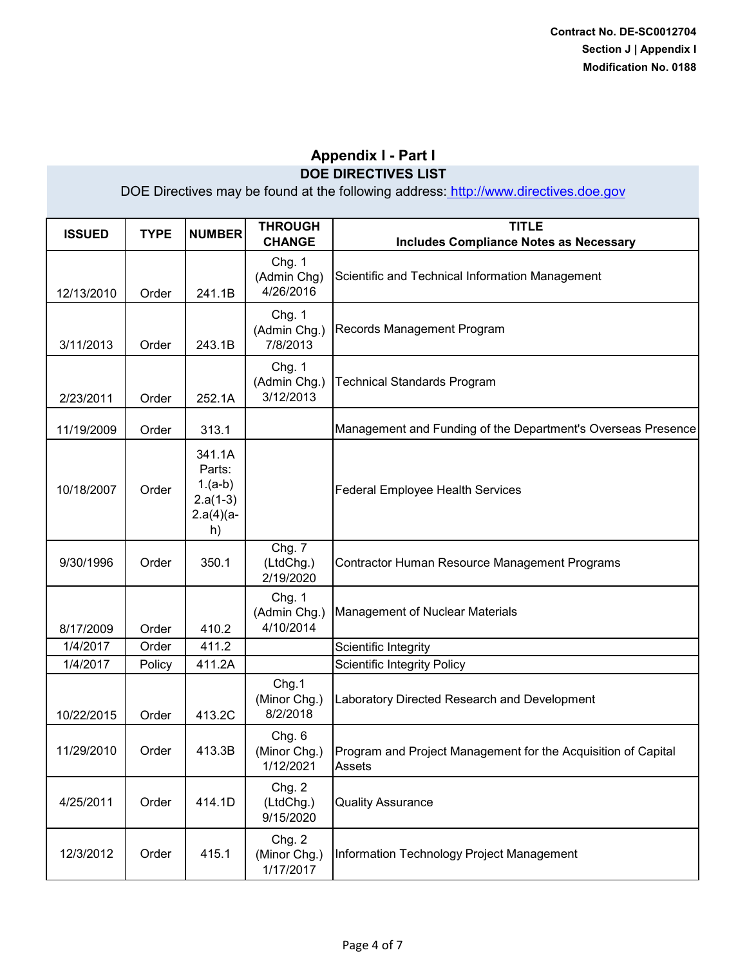| <b>ISSUED</b> | <b>TYPE</b> | <b>NUMBER</b>                                                     | <b>THROUGH</b><br><b>CHANGE</b>     | <b>TITLE</b><br><b>Includes Compliance Notes as Necessary</b>           |
|---------------|-------------|-------------------------------------------------------------------|-------------------------------------|-------------------------------------------------------------------------|
| 12/13/2010    | Order       | 241.1B                                                            | Chg. 1<br>(Admin Chg)<br>4/26/2016  | Scientific and Technical Information Management                         |
| 3/11/2013     | Order       | 243.1B                                                            | Chg. 1<br>(Admin Chg.)<br>7/8/2013  | Records Management Program                                              |
| 2/23/2011     | Order       | 252.1A                                                            | Chg. 1<br>(Admin Chg.)<br>3/12/2013 | <b>Technical Standards Program</b>                                      |
| 11/19/2009    | Order       | 313.1                                                             |                                     | Management and Funding of the Department's Overseas Presence            |
| 10/18/2007    | Order       | 341.1A<br>Parts:<br>$1.(a-b)$<br>$2.a(1-3)$<br>$2.a(4)(a -$<br>h) |                                     | <b>Federal Employee Health Services</b>                                 |
| 9/30/1996     | Order       | 350.1                                                             | Chg. 7<br>(LtdChg.)<br>2/19/2020    | Contractor Human Resource Management Programs                           |
| 8/17/2009     | Order       | 410.2                                                             | Chg. 1<br>(Admin Chg.)<br>4/10/2014 | Management of Nuclear Materials                                         |
| 1/4/2017      | Order       | 411.2                                                             |                                     | Scientific Integrity                                                    |
| 1/4/2017      | Policy      | 411.2A                                                            |                                     | <b>Scientific Integrity Policy</b>                                      |
| 10/22/2015    | Order       | 413.2C                                                            | Chg.1<br>(Minor Chg.)<br>8/2/2018   | Laboratory Directed Research and Development                            |
| 11/29/2010    | Order       | 413.3B                                                            | Chg. 6<br>(Minor Chg.)<br>1/12/2021 | Program and Project Management for the Acquisition of Capital<br>Assets |
| 4/25/2011     | Order       | 414.1D                                                            | Chg. 2<br>(LtdChg.)<br>9/15/2020    | <b>Quality Assurance</b>                                                |
| 12/3/2012     | Order       | 415.1                                                             | Chg. 2<br>(Minor Chg.)<br>1/17/2017 | Information Technology Project Management                               |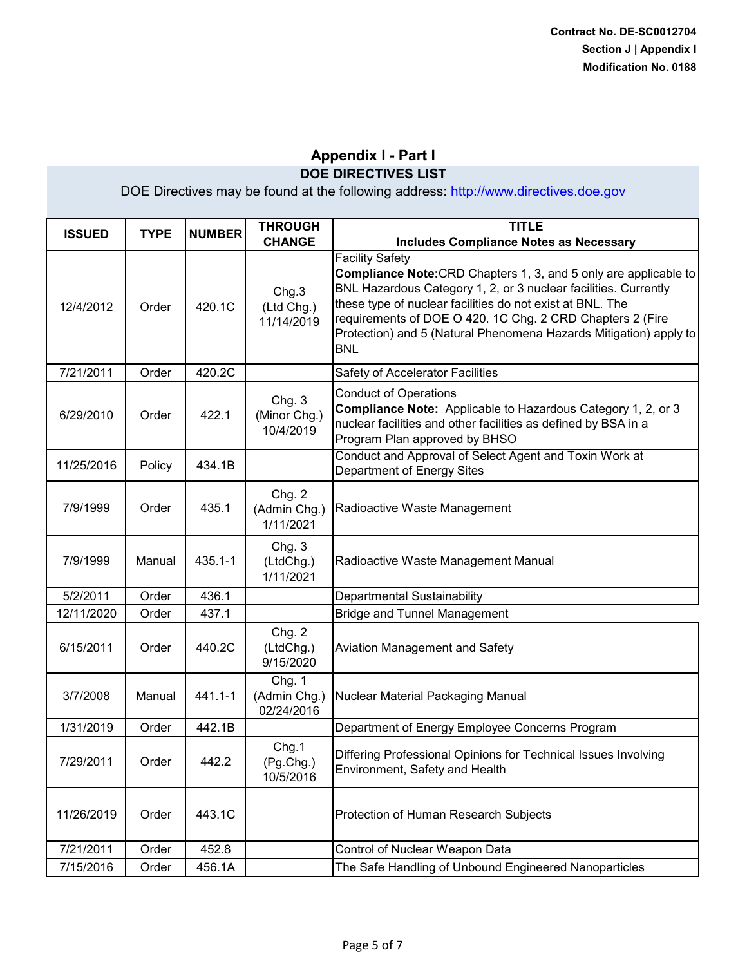| <b>ISSUED</b> | <b>TYPE</b> | <b>NUMBER</b> | <b>THROUGH</b><br><b>CHANGE</b>      | <b>TITLE</b><br><b>Includes Compliance Notes as Necessary</b>                                                                                                                                                                                                                                                                                                                     |
|---------------|-------------|---------------|--------------------------------------|-----------------------------------------------------------------------------------------------------------------------------------------------------------------------------------------------------------------------------------------------------------------------------------------------------------------------------------------------------------------------------------|
| 12/4/2012     | Order       | 420.1C        | Chg.3<br>(Ltd Chg.)<br>11/14/2019    | <b>Facility Safety</b><br><b>Compliance Note:</b> CRD Chapters 1, 3, and 5 only are applicable to<br>BNL Hazardous Category 1, 2, or 3 nuclear facilities. Currently<br>these type of nuclear facilities do not exist at BNL. The<br>requirements of DOE O 420. 1C Chg. 2 CRD Chapters 2 (Fire<br>Protection) and 5 (Natural Phenomena Hazards Mitigation) apply to<br><b>BNL</b> |
| 7/21/2011     | Order       | 420.2C        |                                      | Safety of Accelerator Facilities                                                                                                                                                                                                                                                                                                                                                  |
| 6/29/2010     | Order       | 422.1         | Chg. 3<br>(Minor Chg.)<br>10/4/2019  | <b>Conduct of Operations</b><br>Compliance Note: Applicable to Hazardous Category 1, 2, or 3<br>nuclear facilities and other facilities as defined by BSA in a<br>Program Plan approved by BHSO                                                                                                                                                                                   |
| 11/25/2016    | Policy      | 434.1B        |                                      | Conduct and Approval of Select Agent and Toxin Work at<br>Department of Energy Sites                                                                                                                                                                                                                                                                                              |
| 7/9/1999      | Order       | 435.1         | Chg. 2<br>(Admin Chg.)<br>1/11/2021  | Radioactive Waste Management                                                                                                                                                                                                                                                                                                                                                      |
| 7/9/1999      | Manual      | $435.1 - 1$   | Chg. 3<br>(LtdChg.)<br>1/11/2021     | Radioactive Waste Management Manual                                                                                                                                                                                                                                                                                                                                               |
| 5/2/2011      | Order       | 436.1         |                                      | Departmental Sustainability                                                                                                                                                                                                                                                                                                                                                       |
| 12/11/2020    | Order       | 437.1         |                                      | <b>Bridge and Tunnel Management</b>                                                                                                                                                                                                                                                                                                                                               |
| 6/15/2011     | Order       | 440.2C        | Chg. 2<br>(LtdChg.)<br>9/15/2020     | <b>Aviation Management and Safety</b>                                                                                                                                                                                                                                                                                                                                             |
| 3/7/2008      | Manual      | 441.1-1       | Chg. 1<br>(Admin Chg.)<br>02/24/2016 | Nuclear Material Packaging Manual                                                                                                                                                                                                                                                                                                                                                 |
| 1/31/2019     | Order       | 442.1B        |                                      | Department of Energy Employee Concerns Program                                                                                                                                                                                                                                                                                                                                    |
| 7/29/2011     | Order       | 442.2         | Chg.1<br>(Pg.Chg.)<br>10/5/2016      | Differing Professional Opinions for Technical Issues Involving<br>Environment, Safety and Health                                                                                                                                                                                                                                                                                  |
| 11/26/2019    | Order       | 443.1C        |                                      | Protection of Human Research Subjects                                                                                                                                                                                                                                                                                                                                             |
| 7/21/2011     | Order       | 452.8         |                                      | Control of Nuclear Weapon Data                                                                                                                                                                                                                                                                                                                                                    |
| 7/15/2016     | Order       | 456.1A        |                                      | The Safe Handling of Unbound Engineered Nanoparticles                                                                                                                                                                                                                                                                                                                             |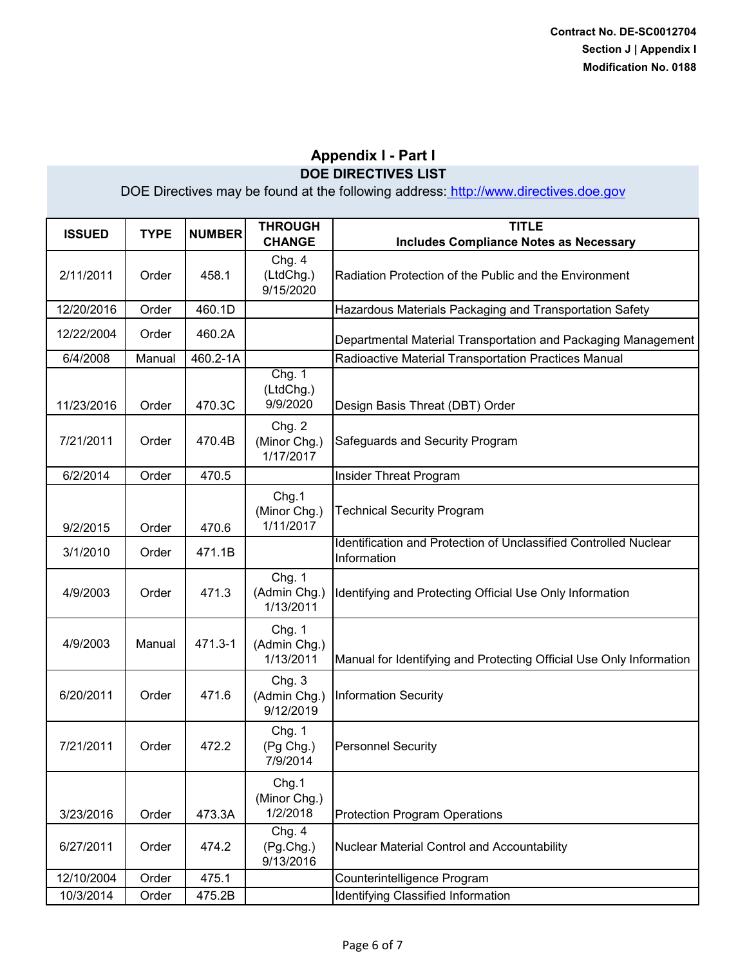| <b>ISSUED</b> | <b>TYPE</b> | <b>NUMBER</b> | <b>THROUGH</b><br><b>CHANGE</b>     | <b>TITLE</b><br><b>Includes Compliance Notes as Necessary</b>                   |
|---------------|-------------|---------------|-------------------------------------|---------------------------------------------------------------------------------|
| 2/11/2011     | Order       | 458.1         | Chg. 4<br>(LtdChg.)<br>9/15/2020    | Radiation Protection of the Public and the Environment                          |
| 12/20/2016    | Order       | 460.1D        |                                     | Hazardous Materials Packaging and Transportation Safety                         |
| 12/22/2004    | Order       | 460.2A        |                                     | Departmental Material Transportation and Packaging Management                   |
| 6/4/2008      | Manual      | 460.2-1A      |                                     | Radioactive Material Transportation Practices Manual                            |
| 11/23/2016    | Order       | 470.3C        | Chg. 1<br>(LtdChg.)<br>9/9/2020     | Design Basis Threat (DBT) Order                                                 |
| 7/21/2011     | Order       | 470.4B        | Chg. 2<br>(Minor Chg.)<br>1/17/2017 | Safeguards and Security Program                                                 |
| 6/2/2014      | Order       | 470.5         |                                     | Insider Threat Program                                                          |
| 9/2/2015      | Order       | 470.6         | Chg.1<br>(Minor Chg.)<br>1/11/2017  | <b>Technical Security Program</b>                                               |
| 3/1/2010      | Order       | 471.1B        |                                     | Identification and Protection of Unclassified Controlled Nuclear<br>Information |
| 4/9/2003      | Order       | 471.3         | Chg. 1<br>(Admin Chg.)<br>1/13/2011 | Identifying and Protecting Official Use Only Information                        |
| 4/9/2003      | Manual      | 471.3-1       | Chg. 1<br>(Admin Chg.)<br>1/13/2011 | Manual for Identifying and Protecting Official Use Only Information             |
| 6/20/2011     | Order       | 471.6         | Chg. 3<br>(Admin Chg.)<br>9/12/2019 | <b>Information Security</b>                                                     |
| 7/21/2011     | Order       | 472.2         | Chg. 1<br>(Pg Chg.)<br>7/9/2014     | <b>Personnel Security</b>                                                       |
| 3/23/2016     | Order       | 473.3A        | Chg.1<br>(Minor Chg.)<br>1/2/2018   | <b>Protection Program Operations</b>                                            |
| 6/27/2011     | Order       | 474.2         | Chg. 4<br>(Pg.Chg.)<br>9/13/2016    | Nuclear Material Control and Accountability                                     |
| 12/10/2004    | Order       | 475.1         |                                     | Counterintelligence Program                                                     |
| 10/3/2014     | Order       | 475.2B        |                                     | Identifying Classified Information                                              |